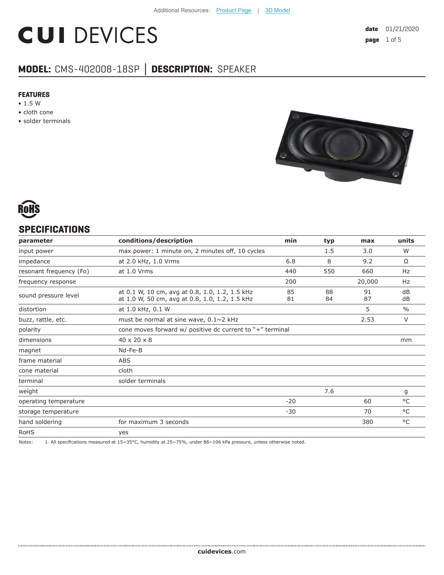# **CUI DEVICES**

# **MODEL:** CMS-402008-18SP **│ DESCRIPTION:** SPEAKER

#### **FEATURES**

- 1.5 W
- cloth cone
- solder terminals





#### **SPECIFICATIONS**

| conditions/description                                                                           | min      | typ                                                       | max      | units         |
|--------------------------------------------------------------------------------------------------|----------|-----------------------------------------------------------|----------|---------------|
| max power: 1 minute on, 2 minutes off, 10 cycles                                                 |          | 1.5                                                       | 3.0      | W             |
| at 2.0 kHz, 1.0 Vrms                                                                             | 6.8      | 8                                                         | 9.2      | Ω             |
| at 1.0 Vrms                                                                                      | 440      | 550                                                       | 660      | Hz            |
|                                                                                                  | 200      |                                                           | 20,000   | Hz            |
| at 0.1 W, 10 cm, avg at 0.8, 1.0, 1.2, 1.5 kHz<br>at 1.0 W, 50 cm, avg at 0.8, 1.0, 1.2, 1.5 kHz | 85<br>81 | 88<br>84                                                  | 91<br>87 | dB<br>dB      |
| at 1.0 kHz, 0.1 W                                                                                |          |                                                           | 5        | $\frac{0}{0}$ |
| must be normal at sine wave, $0.1 \sim 2$ kHz                                                    |          |                                                           | 2.53     | $\vee$        |
|                                                                                                  |          |                                                           |          |               |
| 40 x 20 x 8                                                                                      |          |                                                           |          | mm            |
| Nd-Fe-B                                                                                          |          |                                                           |          |               |
| <b>ABS</b>                                                                                       |          |                                                           |          |               |
| cloth                                                                                            |          |                                                           |          |               |
| solder terminals                                                                                 |          |                                                           |          |               |
|                                                                                                  |          | 7.6                                                       |          | g             |
|                                                                                                  | $-20$    |                                                           | 60       | $^{\circ}$ C  |
|                                                                                                  | $-30$    |                                                           | 70       | $^{\circ}$ C  |
| for maximum 3 seconds                                                                            |          |                                                           | 380      | °C            |
| yes                                                                                              |          |                                                           |          |               |
|                                                                                                  |          | cone moves forward w/ positive dc current to "+" terminal |          |               |

Notes: 1. All specifications measured at 15~35°C, humidity at 25~75%, under 86~106 kPa pressure, unless otherwise noted.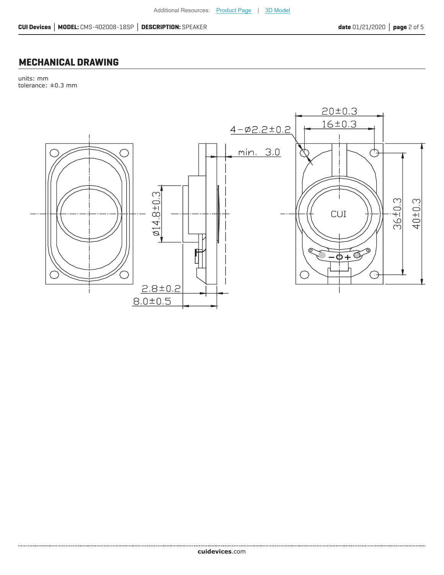### **MECHANICAL DRAWING**

units: mm tolerance: ±0.3 mm

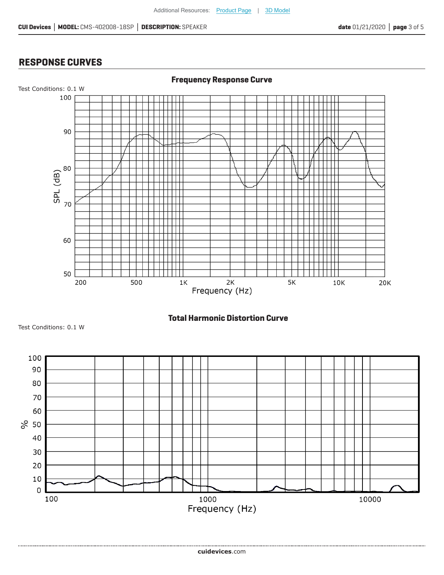## **RESPONSE CURVES**



**Total Harmonic Distortion Curve**

Test Conditions: 0.1 W

....................................

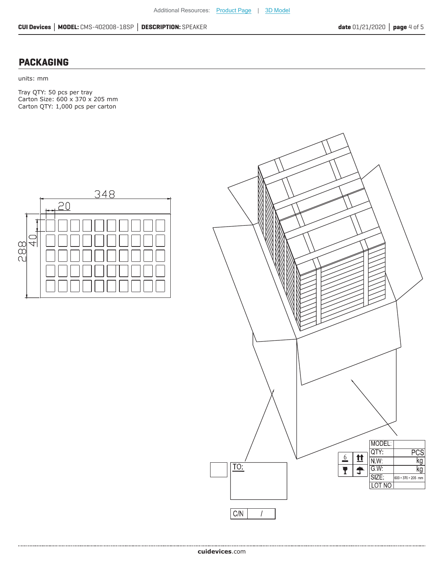#### **PACKAGING**

units: mm

Tray QTY: 50 pcs per tray Carton Size: 600 x 370 x 205 mm Carton QTY: 1,000 pcs per carton